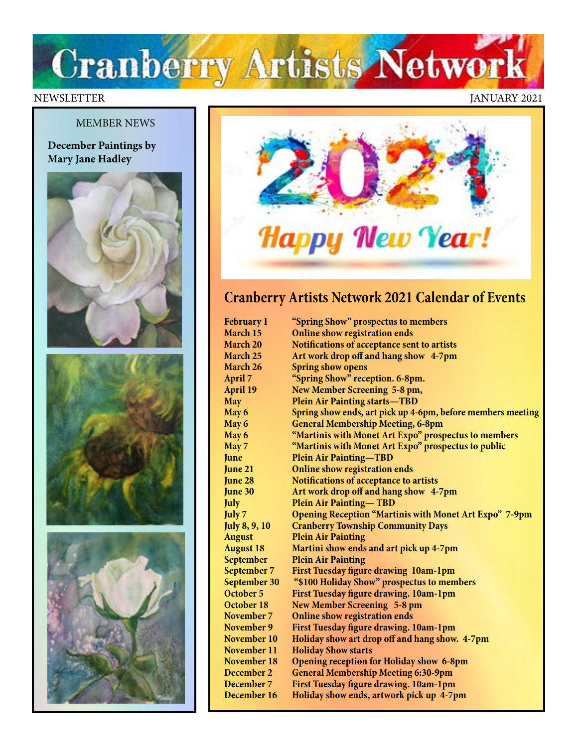# Cranberry Artists Network

### MEMBER NEWS

**December Paintings by Mary Jane Hadley**







#### NEWSLETTER JANUARY 2021



## **Cranberry Artists Network 2021 Calendar of Events**

| <b>February 1</b>    | "Spring Show" prospectus to members                           |
|----------------------|---------------------------------------------------------------|
| March 15             | <b>Online show registration ends</b>                          |
| March 20             | Notifications of acceptance sent to artists                   |
| March 25             | Art work drop off and hang show 4-7pm                         |
| March 26             | <b>Spring show opens</b>                                      |
| April 7              | "Spring Show" reception. 6-8pm.                               |
| <b>April 19</b>      | New Member Screening 5-8 pm,                                  |
| <b>May</b>           | <b>Plein Air Painting starts-TBD</b>                          |
| May 6                | Spring show ends, art pick up 4-6pm, before members meeting   |
| May 6                | <b>General Membership Meeting, 6-8pm</b>                      |
| May 6                | "Martinis with Monet Art Expo" prospectus to members          |
| May 7                | "Martinis with Monet Art Expo" prospectus to public           |
| June                 | <b>Plein Air Painting-TBD</b>                                 |
| June 21              | <b>Online show registration ends</b>                          |
| June 28              | Notifications of acceptance to artists                        |
| June 30              | Art work drop off and hang show 4-7pm                         |
| <b>July</b>          | <b>Plein Air Painting-TBD</b>                                 |
| July 7               | <b>Opening Reception "Martinis with Monet Art Expo" 7-9pm</b> |
| <b>July 8, 9, 10</b> | <b>Cranberry Township Community Days</b>                      |
| <b>August</b>        | <b>Plein Air Painting</b>                                     |
| <b>August 18</b>     | Martini show ends and art pick up 4-7pm                       |
| September            | <b>Plein Air Painting</b>                                     |
| September 7          | First Tuesday figure drawing 10am-1pm                         |
| September 30         | "\$100 Holiday Show" prospectus to members                    |
| October 5            | First Tuesday figure drawing. 10am-1pm                        |
| October 18           | <b>New Member Screening 5-8 pm</b>                            |
| November 7           | <b>Online show registration ends</b>                          |
| November 9           | First Tuesday figure drawing. 10am-1pm                        |
| November 10          | Holiday show art drop off and hang show. 4-7pm                |
| November 11          | <b>Holiday Show starts</b>                                    |
| November 18          | <b>Opening reception for Holiday show 6-8pm</b>               |
| December 2           | <b>General Membership Meeting 6:30-9pm</b>                    |
| December 7           | First Tuesday figure drawing. 10am-1pm                        |
| December 16          | Holiday show ends, artwork pick up 4-7pm                      |
|                      |                                                               |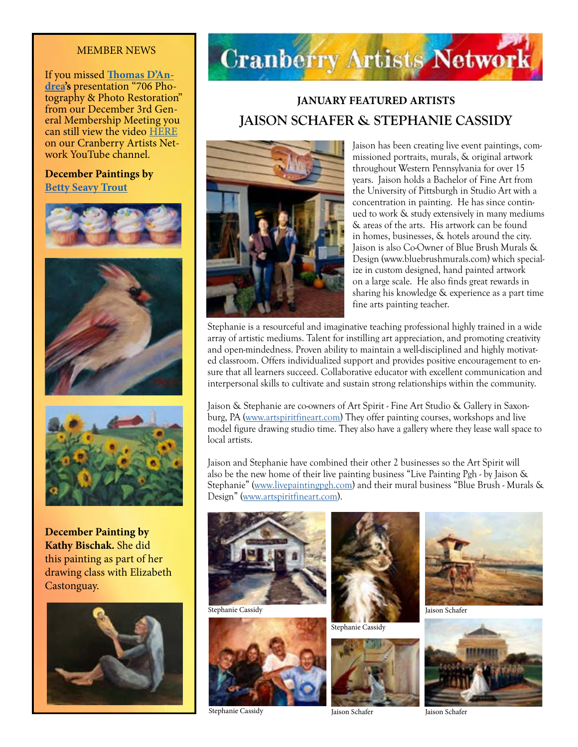#### MEMBER NEWS

If you missed **[Thomas D'An](http://www.706photo.com/)[drea'](http://www.706photo.com/)s** presentation "706 Photography & Photo Restoration" from our December 3rd General Membership Meeting you can still view the video [HERE](https://www.youtube.com/watch?fbclid=IwAR3r0YzG1pcOtLC9G_2yx5dG415NLeHs6HI-oDpgmLzsDF0qawDgiM0nqaE&v=zOIwJSCCneQ&feature=youtu.be) on our Cranberry Artists Network YouTube channel.

#### **December Paintings by [Betty Seavy Trout](https://www.bettytrout.com/)**







**December Painting by Kathy Bischak.** She did this painting as part of her drawing class with Elizabeth Castonguay.





### **JANUARY FEATURED ARTISTS JAISON SCHAFER & STEPHANIE CASSIDY**



Jaison has been creating live event paintings, commissioned portraits, murals, & original artwork throughout Western Pennsylvania for over 15 years. Jaison holds a Bachelor of Fine Art from the University of Pittsburgh in Studio Art with a concentration in painting. He has since continued to work & study extensively in many mediums & areas of the arts. His artwork can be found in homes, businesses, & hotels around the city. Jaison is also Co-Owner of Blue Brush Murals & Design (www.bluebrushmurals.com) which specialize in custom designed, hand painted artwork on a large scale. He also finds great rewards in sharing his knowledge & experience as a part time fine arts painting teacher.

Stephanie is a resourceful and imaginative teaching professional highly trained in a wide array of artistic mediums. Talent for instilling art appreciation, and promoting creativity and open-mindedness. Proven ability to maintain a well-disciplined and highly motivated classroom. Offers individualized support and provides positive encouragement to ensure that all learners succeed. Collaborative educator with excellent communication and interpersonal skills to cultivate and sustain strong relationships within the community.

Jaison & Stephanie are co-owners of Art Spirit - Fine Art Studio & Gallery in Saxonburg, PA [\(www.artspiritfineart.com](http://www.artspiritfineart.com)) They offer painting courses, workshops and live model figure drawing studio time. They also have a gallery where they lease wall space to local artists.

Jaison and Stephanie have combined their other 2 businesses so the Art Spirit will also be the new home of their live painting business "Live Painting Pgh - by Jaison & Stephanie" ([www.livepaintingpgh.com](http://www.livepaintingpgh.com)) and their mural business "Blue Brush - Murals & Design" [\(www.artspiritfineart.com\)](http://www.artspiritfineart.com).



Stephanie Cassidy



Stephanie Cassidy



Stephanie Cassidy





Jaison Schafer



Jaison Schafer

Jaison Schafer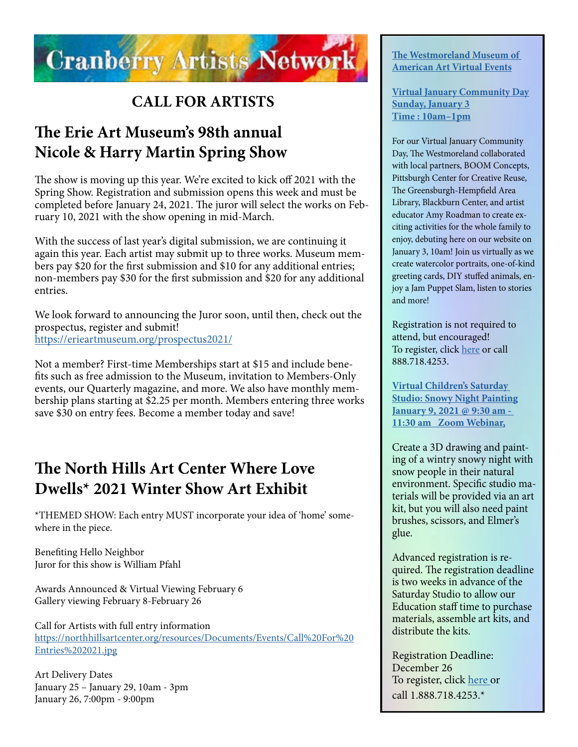

## **CALL FOR ARTISTS**

## **The Erie Art Museum's 98th annual Nicole & Harry Martin Spring Show**

The show is moving up this year. We're excited to kick off 2021 with the Spring Show. Registration and submission opens this week and must be completed before January 24, 2021. The juror will select the works on February 10, 2021 with the show opening in mid-March.

With the success of last year's digital submission, we are continuing it again this year. Each artist may submit up to three works. Museum members pay \$20 for the first submission and \$10 for any additional entries; non-members pay \$30 for the first submission and \$20 for any additional entries.

We look forward to announcing the Juror soon, until then, check out the prospectus, register and submit! <https://erieartmuseum.org/prospectus2021/>

Not a member? First-time Memberships start at \$15 and include benefits such as free admission to the Museum, invitation to Members-Only events, our Quarterly magazine, and more. We also have monthly membership plans starting at \$2.25 per month. Members entering three works save \$30 on entry fees. Become a member today and save!

## **The North Hills Art Center Where Love Dwells\* 2021 Winter Show Art Exhibit**

\*THEMED SHOW: Each entry MUST incorporate your idea of 'home' somewhere in the piece.

Benefiting Hello Neighbor Juror for this show is William Pfahl

Awards Announced & Virtual Viewing February 6 Gallery viewing February 8-February 26

Call for Artists with full entry information [https://northhillsartcenter.org/resources/Documents/Events/Call%20For%20](https://northhillsartcenter.org/resources/Documents/Events/Call%20For%20Entries%202021.jpg) [Entries%202021.jpg](https://northhillsartcenter.org/resources/Documents/Events/Call%20For%20Entries%202021.jpg)

Art Delivery Dates January 25 – January 29, 10am - 3pm January 26, 7:00pm - 9:00pm

#### **[The Westmoreland Museum of](https://thewestmoreland.org/events/)  [American Art Virtual Events](https://thewestmoreland.org/events/)**

**[Virtual January Community Day](https://thewestmoreland.org/event/january-community-day/) [Sunday, January 3](https://thewestmoreland.org/event/january-community-day/) [Time : 10am–1pm](https://thewestmoreland.org/event/january-community-day/)**

For our Virtual January Community Day, The Westmoreland collaborated with local partners, BOOM Concepts, Pittsburgh Center for Creative Reuse, The Greensburgh-Hempfield Area Library, Blackburn Center, and artist educator Amy Roadman to create exciting activities for the whole family to enjoy, debuting here on our website on January 3, 10am! Join us virtually as we create watercolor portraits, one-of-kind greeting cards, DIY stuffed animals, enjoy a Jam Puppet Slam, listen to stories and more!

Registration is not required to attend, but encouraged! To register, click [here](https://www.showclix.com/event/virtual-community-day-jan-21) or call 888.718.4253.

**[Virtual Children's Saturday](https://thewestmoreland.org/event/childrens-saturday-studio-snowy-night-painting/)  [Studio: Snowy Night Painting](https://thewestmoreland.org/event/childrens-saturday-studio-snowy-night-painting/) [January 9, 2021 @ 9:30 am -](https://thewestmoreland.org/event/childrens-saturday-studio-snowy-night-painting/)  [11:30 am Zoom Webinar,](https://thewestmoreland.org/event/childrens-saturday-studio-snowy-night-painting/)**

Create a 3D drawing and painting of a wintry snowy night with snow people in their natural environment. Specific studio materials will be provided via an art kit, but you will also need paint brushes, scissors, and Elmer's glue.

Advanced registration is required. The registration deadline is two weeks in advance of the Saturday Studio to allow our Education staff time to purchase materials, assemble art kits, and distribute the kits.

Registration Deadline: December 26 To register, click [here](https://www.showclix.com/event/virtual-childrens-saturday-studio-snowy-night-painting) or call 1.888.718.4253.\*